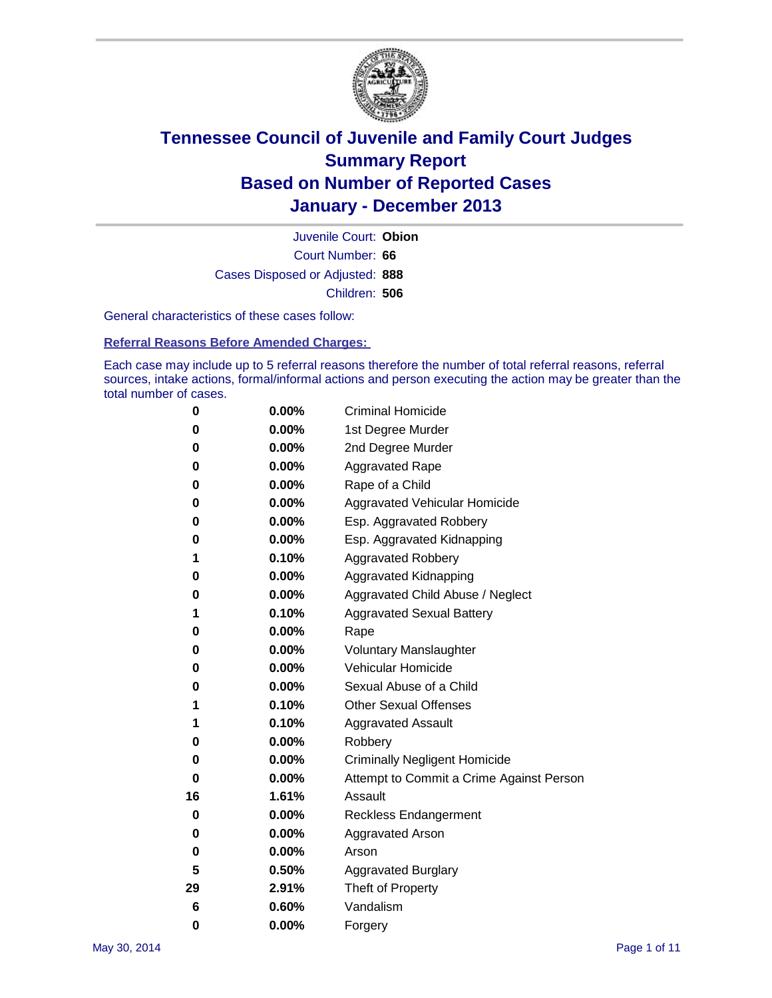

Court Number: **66** Juvenile Court: **Obion** Cases Disposed or Adjusted: **888** Children: **506**

General characteristics of these cases follow:

**Referral Reasons Before Amended Charges:** 

Each case may include up to 5 referral reasons therefore the number of total referral reasons, referral sources, intake actions, formal/informal actions and person executing the action may be greater than the total number of cases.

| 0        | $0.00\%$ | <b>Criminal Homicide</b>                 |
|----------|----------|------------------------------------------|
| 0        | 0.00%    | 1st Degree Murder                        |
| 0        | 0.00%    | 2nd Degree Murder                        |
| 0        | $0.00\%$ | <b>Aggravated Rape</b>                   |
| 0        | 0.00%    | Rape of a Child                          |
| 0        | 0.00%    | <b>Aggravated Vehicular Homicide</b>     |
| 0        | $0.00\%$ | Esp. Aggravated Robbery                  |
| 0        | 0.00%    | Esp. Aggravated Kidnapping               |
| 1        | 0.10%    | <b>Aggravated Robbery</b>                |
| 0        | 0.00%    | Aggravated Kidnapping                    |
| 0        | 0.00%    | Aggravated Child Abuse / Neglect         |
| 1        | 0.10%    | <b>Aggravated Sexual Battery</b>         |
| 0        | $0.00\%$ | Rape                                     |
| 0        | 0.00%    | <b>Voluntary Manslaughter</b>            |
| 0        | 0.00%    | Vehicular Homicide                       |
| 0        | 0.00%    | Sexual Abuse of a Child                  |
| 1        | 0.10%    | <b>Other Sexual Offenses</b>             |
| 1        | 0.10%    | <b>Aggravated Assault</b>                |
| 0        | 0.00%    | Robbery                                  |
| 0        | 0.00%    | <b>Criminally Negligent Homicide</b>     |
| 0        | 0.00%    | Attempt to Commit a Crime Against Person |
| 16       | 1.61%    | Assault                                  |
| 0        | 0.00%    | <b>Reckless Endangerment</b>             |
| 0        | 0.00%    | <b>Aggravated Arson</b>                  |
| 0        | 0.00%    | Arson                                    |
| 5        | 0.50%    | <b>Aggravated Burglary</b>               |
| 29       | 2.91%    | Theft of Property                        |
| 6        | 0.60%    | Vandalism                                |
| $\bf{0}$ | 0.00%    | Forgery                                  |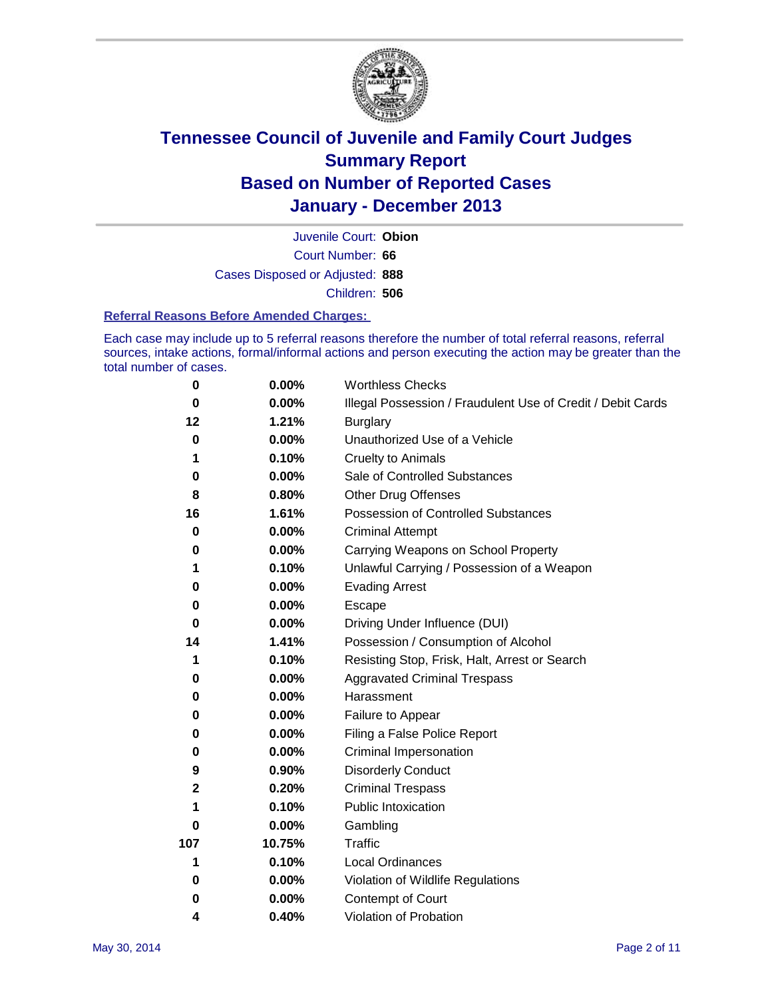

Court Number: **66** Juvenile Court: **Obion** Cases Disposed or Adjusted: **888** Children: **506**

### **Referral Reasons Before Amended Charges:**

Each case may include up to 5 referral reasons therefore the number of total referral reasons, referral sources, intake actions, formal/informal actions and person executing the action may be greater than the total number of cases.

| 0           | 0.00%    | <b>Worthless Checks</b>                                     |
|-------------|----------|-------------------------------------------------------------|
| 0           | 0.00%    | Illegal Possession / Fraudulent Use of Credit / Debit Cards |
| 12          | 1.21%    | <b>Burglary</b>                                             |
| 0           | 0.00%    | Unauthorized Use of a Vehicle                               |
| 1           | 0.10%    | <b>Cruelty to Animals</b>                                   |
| 0           | 0.00%    | Sale of Controlled Substances                               |
| 8           | 0.80%    | <b>Other Drug Offenses</b>                                  |
| 16          | 1.61%    | Possession of Controlled Substances                         |
| 0           | 0.00%    | <b>Criminal Attempt</b>                                     |
| 0           | 0.00%    | Carrying Weapons on School Property                         |
| 1           | 0.10%    | Unlawful Carrying / Possession of a Weapon                  |
| 0           | 0.00%    | <b>Evading Arrest</b>                                       |
| 0           | 0.00%    | Escape                                                      |
| 0           | 0.00%    | Driving Under Influence (DUI)                               |
| 14          | 1.41%    | Possession / Consumption of Alcohol                         |
| 1           | 0.10%    | Resisting Stop, Frisk, Halt, Arrest or Search               |
| 0           | 0.00%    | <b>Aggravated Criminal Trespass</b>                         |
| 0           | $0.00\%$ | Harassment                                                  |
| 0           | 0.00%    | Failure to Appear                                           |
| 0           | 0.00%    | Filing a False Police Report                                |
| 0           | 0.00%    | Criminal Impersonation                                      |
| 9           | 0.90%    | <b>Disorderly Conduct</b>                                   |
| $\mathbf 2$ | 0.20%    | <b>Criminal Trespass</b>                                    |
| 1           | 0.10%    | <b>Public Intoxication</b>                                  |
| 0           | 0.00%    | Gambling                                                    |
| 107         | 10.75%   | <b>Traffic</b>                                              |
| 1           | 0.10%    | <b>Local Ordinances</b>                                     |
| 0           | 0.00%    | Violation of Wildlife Regulations                           |
| 0           | 0.00%    | Contempt of Court                                           |
| 4           | 0.40%    | Violation of Probation                                      |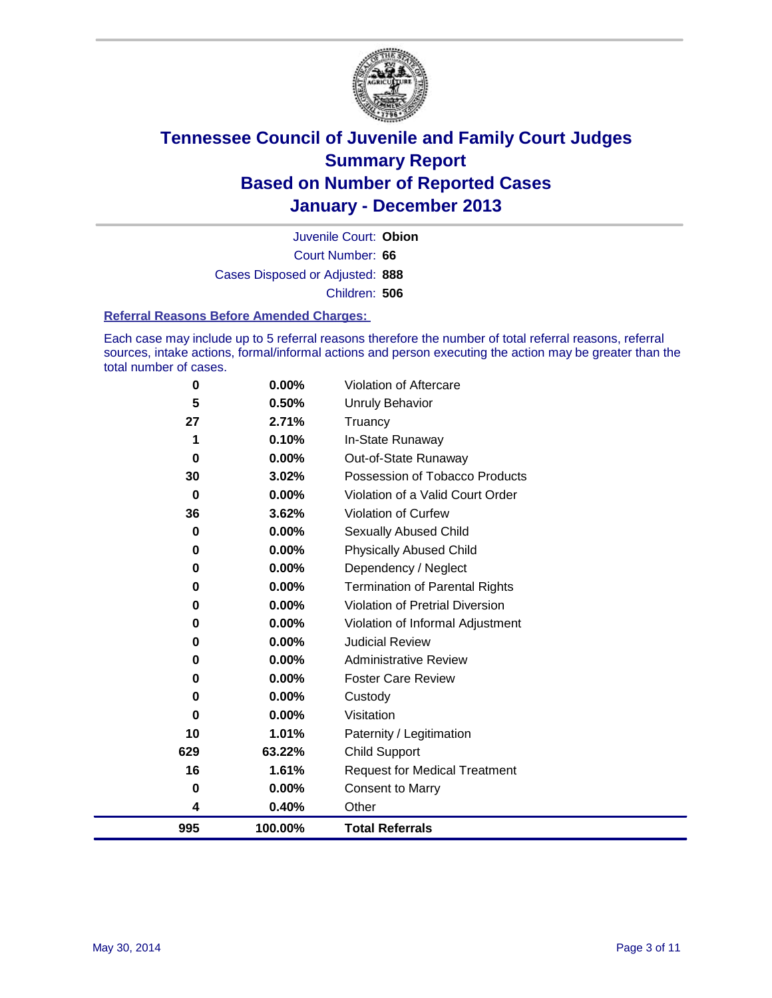

Court Number: **66** Juvenile Court: **Obion** Cases Disposed or Adjusted: **888** Children: **506**

### **Referral Reasons Before Amended Charges:**

Each case may include up to 5 referral reasons therefore the number of total referral reasons, referral sources, intake actions, formal/informal actions and person executing the action may be greater than the total number of cases.

| 995      | 100.00% | <b>Total Referrals</b>                |
|----------|---------|---------------------------------------|
| 4        | 0.40%   | Other                                 |
| 0        | 0.00%   | Consent to Marry                      |
| 16       | 1.61%   | <b>Request for Medical Treatment</b>  |
| 629      | 63.22%  | <b>Child Support</b>                  |
| 10       | 1.01%   | Paternity / Legitimation              |
| $\bf{0}$ | 0.00%   | Visitation                            |
| 0        | 0.00%   | Custody                               |
| 0        | 0.00%   | <b>Foster Care Review</b>             |
| 0        | 0.00%   | <b>Administrative Review</b>          |
| 0        | 0.00%   | <b>Judicial Review</b>                |
| 0        | 0.00%   | Violation of Informal Adjustment      |
| 0        | 0.00%   | Violation of Pretrial Diversion       |
| 0        | 0.00%   | <b>Termination of Parental Rights</b> |
| 0        | 0.00%   | Dependency / Neglect                  |
| $\bf{0}$ | 0.00%   | <b>Physically Abused Child</b>        |
| 0        | 0.00%   | Sexually Abused Child                 |
| 36       | 3.62%   | Violation of Curfew                   |
| 0        | 0.00%   | Violation of a Valid Court Order      |
| 30       | 3.02%   | Possession of Tobacco Products        |
| 0        | 0.00%   | Out-of-State Runaway                  |
| 1        | 0.10%   | In-State Runaway                      |
| 27       | 2.71%   | Truancy                               |
| 5        | 0.50%   | <b>Unruly Behavior</b>                |
| $\bf{0}$ | 0.00%   | Violation of Aftercare                |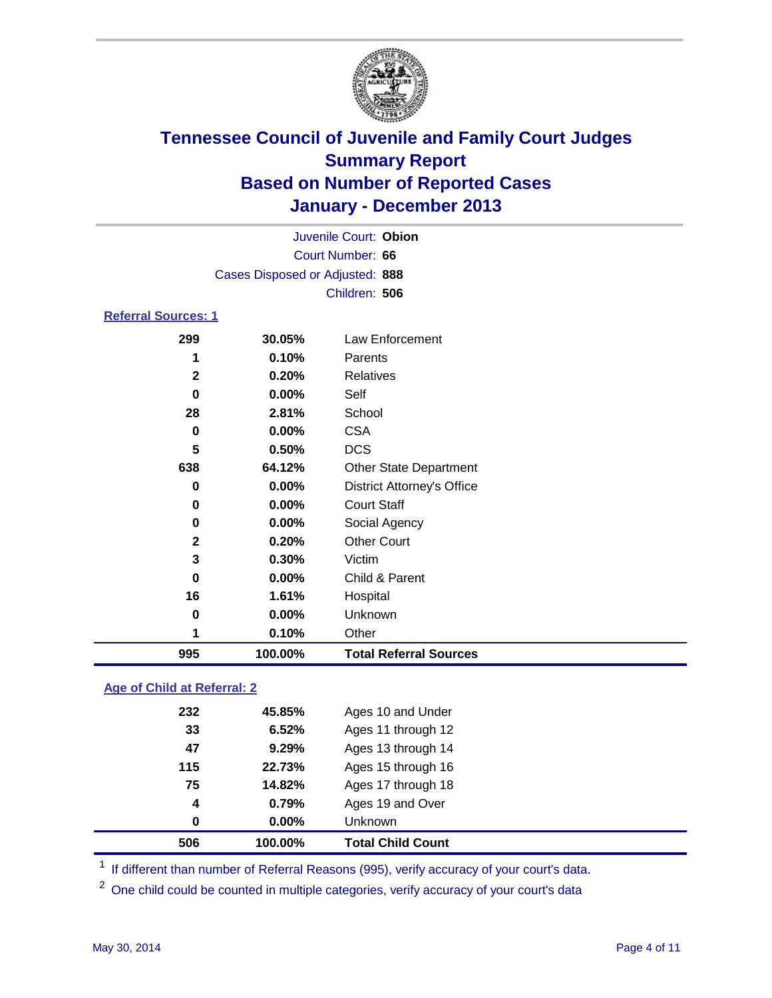

|                            | Juvenile Court: Obion           |                                   |  |  |  |  |  |
|----------------------------|---------------------------------|-----------------------------------|--|--|--|--|--|
|                            | Court Number: 66                |                                   |  |  |  |  |  |
|                            | Cases Disposed or Adjusted: 888 |                                   |  |  |  |  |  |
|                            | Children: 506                   |                                   |  |  |  |  |  |
| <b>Referral Sources: 1</b> |                                 |                                   |  |  |  |  |  |
| 299                        | 30.05%                          | Law Enforcement                   |  |  |  |  |  |
| 1                          | 0.10%                           | Parents                           |  |  |  |  |  |
| $\mathbf{2}$               | 0.20%                           | Relatives                         |  |  |  |  |  |
| 0                          | $0.00\%$                        | Self                              |  |  |  |  |  |
| 28                         | 2.81%                           | School                            |  |  |  |  |  |
| $\bf{0}$                   | $0.00\%$                        | <b>CSA</b>                        |  |  |  |  |  |
| 5                          | 0.50%                           | <b>DCS</b>                        |  |  |  |  |  |
| 638                        | 64.12%                          | <b>Other State Department</b>     |  |  |  |  |  |
| 0                          | $0.00\%$                        | <b>District Attorney's Office</b> |  |  |  |  |  |
| 0                          | $0.00\%$                        | <b>Court Staff</b>                |  |  |  |  |  |
| 0                          | $0.00\%$                        | Social Agency                     |  |  |  |  |  |
| $\mathbf{2}$               | 0.20%                           | <b>Other Court</b>                |  |  |  |  |  |
| 3                          | 0.30%                           | Victim                            |  |  |  |  |  |
| U                          | በ በበ%                           | Child & Parent                    |  |  |  |  |  |

 **0.00%** Child & Parent **1.61%** Hospital **0.00%** Unknown **0.10%** Other **100.00% Total Referral Sources**

### **Age of Child at Referral: 2**

|     |        | <b>Total Child Count</b> |
|-----|--------|--------------------------|
| 0   | 0.00%  | <b>Unknown</b>           |
| 4   | 0.79%  | Ages 19 and Over         |
| 75  | 14.82% | Ages 17 through 18       |
| 115 | 22.73% | Ages 15 through 16       |
| 47  | 9.29%  | Ages 13 through 14       |
| 33  | 6.52%  | Ages 11 through 12       |
| 232 | 45.85% | Ages 10 and Under        |
|     |        |                          |

<sup>1</sup> If different than number of Referral Reasons (995), verify accuracy of your court's data.

<sup>2</sup> One child could be counted in multiple categories, verify accuracy of your court's data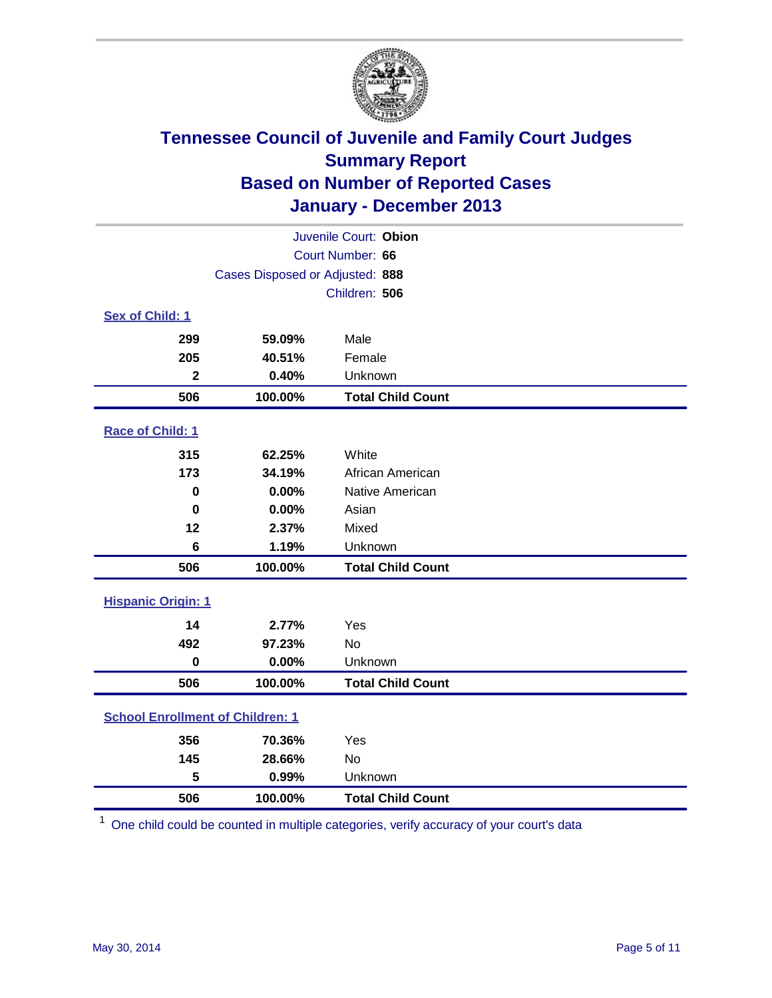

| Juvenile Court: Obion                   |                                 |                          |  |  |
|-----------------------------------------|---------------------------------|--------------------------|--|--|
| Court Number: 66                        |                                 |                          |  |  |
|                                         | Cases Disposed or Adjusted: 888 |                          |  |  |
|                                         |                                 | Children: 506            |  |  |
| Sex of Child: 1                         |                                 |                          |  |  |
| 299                                     | 59.09%                          | Male                     |  |  |
| 205                                     | 40.51%                          | Female                   |  |  |
| $\mathbf{2}$                            | 0.40%                           | Unknown                  |  |  |
| 506                                     | 100.00%                         | <b>Total Child Count</b> |  |  |
| Race of Child: 1                        |                                 |                          |  |  |
| 315                                     | 62.25%                          | White                    |  |  |
| 173                                     | 34.19%                          | African American         |  |  |
| 0                                       | 0.00%                           | Native American          |  |  |
| $\bf{0}$                                | 0.00%                           | Asian                    |  |  |
| 12                                      | 2.37%                           | Mixed                    |  |  |
| 6                                       | 1.19%                           | Unknown                  |  |  |
| 506                                     | 100.00%                         | <b>Total Child Count</b> |  |  |
| <b>Hispanic Origin: 1</b>               |                                 |                          |  |  |
| 14                                      | 2.77%                           | Yes                      |  |  |
| 492                                     | 97.23%                          | <b>No</b>                |  |  |
| $\mathbf 0$                             | 0.00%                           | Unknown                  |  |  |
| 506                                     | 100.00%                         | <b>Total Child Count</b> |  |  |
| <b>School Enrollment of Children: 1</b> |                                 |                          |  |  |
| 356                                     | 70.36%                          | Yes                      |  |  |
| 145                                     | 28.66%                          | <b>No</b>                |  |  |
| 5                                       | 0.99%                           | Unknown                  |  |  |
| 506                                     | 100.00%                         | <b>Total Child Count</b> |  |  |

One child could be counted in multiple categories, verify accuracy of your court's data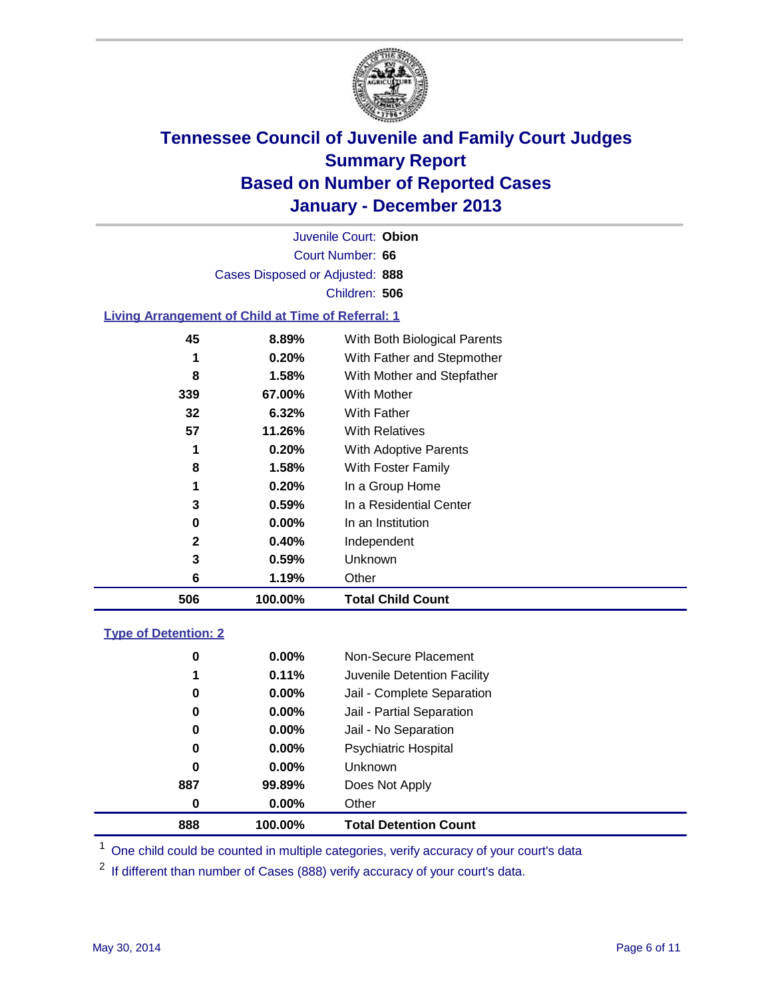

Court Number: **66** Juvenile Court: **Obion** Cases Disposed or Adjusted: **888** Children: **506**

### **Living Arrangement of Child at Time of Referral: 1**

| 506          | 100.00%  | <b>Total Child Count</b>     |
|--------------|----------|------------------------------|
| 6            | 1.19%    | Other                        |
| 3            | 0.59%    | Unknown                      |
| $\mathbf{2}$ | 0.40%    | Independent                  |
| 0            | 0.00%    | In an Institution            |
| 3            | $0.59\%$ | In a Residential Center      |
| 1            | 0.20%    | In a Group Home              |
| 8            | 1.58%    | With Foster Family           |
| 1            | 0.20%    | <b>With Adoptive Parents</b> |
| 57           | 11.26%   | <b>With Relatives</b>        |
| 32           | 6.32%    | With Father                  |
| 339          | 67.00%   | With Mother                  |
| 8            | 1.58%    | With Mother and Stepfather   |
| 1            | 0.20%    | With Father and Stepmother   |
| 45           | 8.89%    | With Both Biological Parents |
|              |          |                              |

### **Type of Detention: 2**

| 888 | 100.00%  | <b>Total Detention Count</b> |  |
|-----|----------|------------------------------|--|
| 0   | 0.00%    | Other                        |  |
| 887 | 99.89%   | Does Not Apply               |  |
| 0   | $0.00\%$ | <b>Unknown</b>               |  |
| 0   | $0.00\%$ | <b>Psychiatric Hospital</b>  |  |
| 0   | 0.00%    | Jail - No Separation         |  |
| 0   | $0.00\%$ | Jail - Partial Separation    |  |
| 0   | $0.00\%$ | Jail - Complete Separation   |  |
| 1   | 0.11%    | Juvenile Detention Facility  |  |
| 0   | 0.00%    | Non-Secure Placement         |  |
|     |          |                              |  |

<sup>1</sup> One child could be counted in multiple categories, verify accuracy of your court's data

<sup>2</sup> If different than number of Cases (888) verify accuracy of your court's data.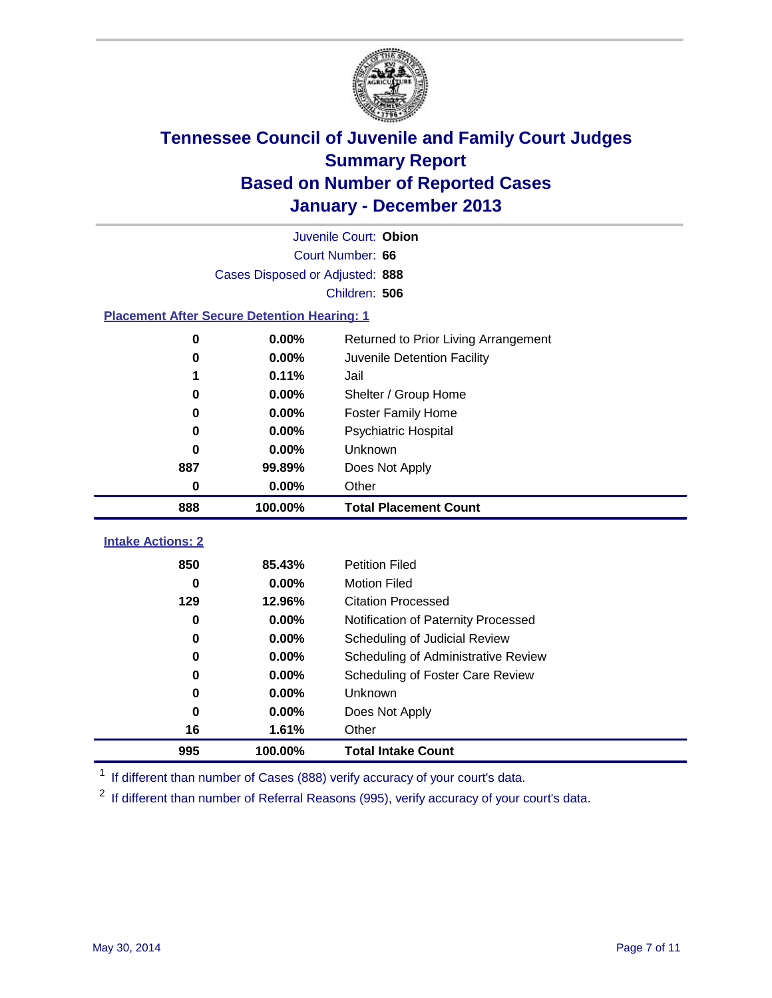

|                                                    | Juvenile Court: Obion           |                                      |  |  |  |  |  |
|----------------------------------------------------|---------------------------------|--------------------------------------|--|--|--|--|--|
|                                                    | Court Number: 66                |                                      |  |  |  |  |  |
|                                                    | Cases Disposed or Adjusted: 888 |                                      |  |  |  |  |  |
| Children: 506                                      |                                 |                                      |  |  |  |  |  |
| <b>Placement After Secure Detention Hearing: 1</b> |                                 |                                      |  |  |  |  |  |
| 0                                                  | 0.00%                           | Returned to Prior Living Arrangement |  |  |  |  |  |
| 0                                                  | 0.00%                           | Juvenile Detention Facility          |  |  |  |  |  |
| 1                                                  | 0.11%                           | Jail                                 |  |  |  |  |  |
| 0                                                  | 0.00%                           | Shelter / Group Home                 |  |  |  |  |  |
| 0                                                  | 0.00%                           | <b>Foster Family Home</b>            |  |  |  |  |  |
| 0                                                  | 0.00%                           | Psychiatric Hospital                 |  |  |  |  |  |
| 0                                                  | 0.00%                           | Unknown                              |  |  |  |  |  |
| 887                                                | 99.89%                          | Does Not Apply                       |  |  |  |  |  |
| 0                                                  | $0.00\%$                        | Other                                |  |  |  |  |  |
| 888                                                | 100.00%                         | <b>Total Placement Count</b>         |  |  |  |  |  |
|                                                    |                                 |                                      |  |  |  |  |  |
| <b>Intake Actions: 2</b>                           |                                 |                                      |  |  |  |  |  |
| 850                                                | 85.43%                          | <b>Petition Filed</b>                |  |  |  |  |  |
| 0                                                  | 0.00%                           | <b>Motion Filed</b>                  |  |  |  |  |  |
| 129                                                | 12.96%                          | <b>Citation Processed</b>            |  |  |  |  |  |
| $\bf{0}$                                           | 0.00%                           | Notification of Paternity Processed  |  |  |  |  |  |
| 0                                                  | $0.00\%$                        | Scheduling of Judicial Review        |  |  |  |  |  |
| 0                                                  | 0.00%                           | Scheduling of Administrative Review  |  |  |  |  |  |
| 0                                                  | 0.00%                           | Scheduling of Foster Care Review     |  |  |  |  |  |
| 0                                                  | 0.00%                           | Unknown                              |  |  |  |  |  |
| $\bf{0}$                                           | 0.00%                           | Does Not Apply                       |  |  |  |  |  |
| 16                                                 | 1.61%                           | Other                                |  |  |  |  |  |
| 995                                                | 100.00%                         | <b>Total Intake Count</b>            |  |  |  |  |  |

<sup>1</sup> If different than number of Cases (888) verify accuracy of your court's data.

<sup>2</sup> If different than number of Referral Reasons (995), verify accuracy of your court's data.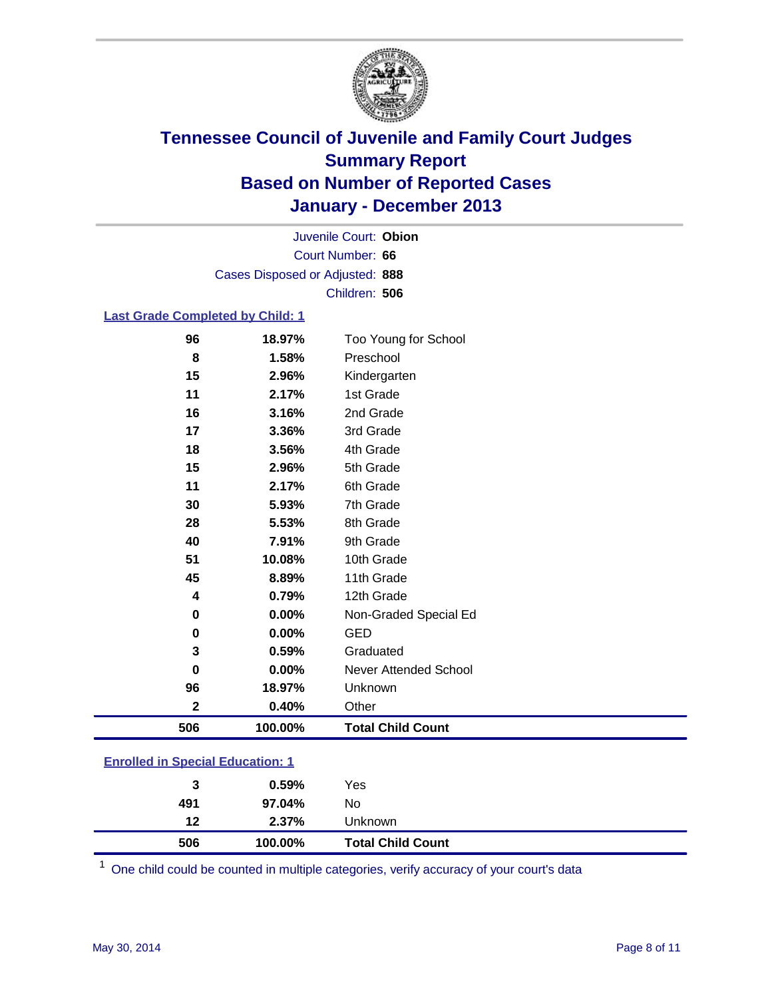

Court Number: **66** Juvenile Court: **Obion** Cases Disposed or Adjusted: **888** Children: **506**

### **Last Grade Completed by Child: 1**

| $\mathbf 2$<br>506 | 0.40%<br>100.00% | Other<br><b>Total Child Count</b> |
|--------------------|------------------|-----------------------------------|
| 96                 | 18.97%           | Unknown                           |
| 0                  | 0.00%            | <b>Never Attended School</b>      |
| 3                  | 0.59%            | Graduated                         |
| 0                  | 0.00%            | <b>GED</b>                        |
| 0                  | 0.00%            | Non-Graded Special Ed             |
| 4                  | 0.79%            | 12th Grade                        |
| 45                 | 8.89%            | 11th Grade                        |
| 51                 | 10.08%           | 10th Grade                        |
| 40                 | 7.91%            | 9th Grade                         |
| 28                 | 5.53%            | 8th Grade                         |
| 30                 | 5.93%            | 7th Grade                         |
| 11                 | 2.17%            | 6th Grade                         |
| 15                 | 2.96%            | 5th Grade                         |
| 18                 | 3.56%            | 4th Grade                         |
| 17                 | 3.36%            | 3rd Grade                         |
| 16                 | 3.16%            | 2nd Grade                         |
| 11                 | 2.17%            | 1st Grade                         |
| 15                 | 2.96%            | Kindergarten                      |
| 8                  | 1.58%            | Preschool                         |
| 96                 | 18.97%           | Too Young for School              |

| <b>Enrolled in Special Education: 1</b> |  |
|-----------------------------------------|--|
|-----------------------------------------|--|

| 3   | 0.59%   | Yes                      |
|-----|---------|--------------------------|
| 491 | 97.04%  | No                       |
| 12  | 2.37%   | Unknown                  |
| 506 | 100.00% | <b>Total Child Count</b> |

One child could be counted in multiple categories, verify accuracy of your court's data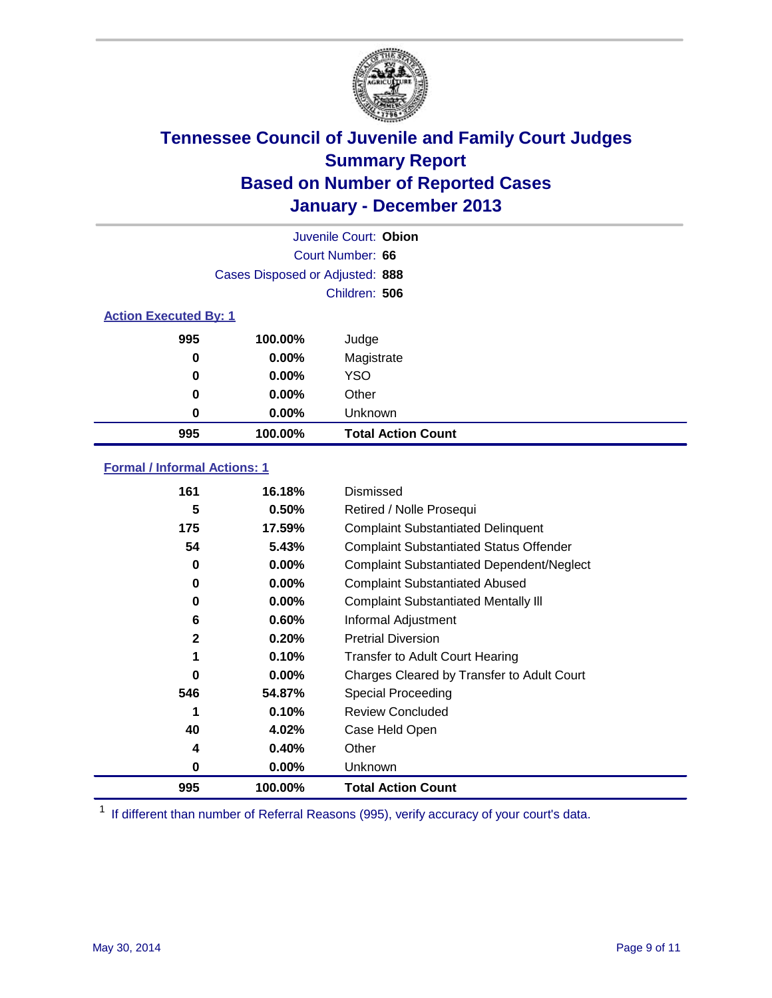

|                              |                                 | Juvenile Court: Obion     |
|------------------------------|---------------------------------|---------------------------|
|                              |                                 | Court Number: 66          |
|                              | Cases Disposed or Adjusted: 888 |                           |
|                              |                                 | Children: 506             |
| <b>Action Executed By: 1</b> |                                 |                           |
| 995                          | 100.00%                         | Judge                     |
| 0                            | $0.00\%$                        | Magistrate                |
| 0                            | $0.00\%$                        | <b>YSO</b>                |
| 0                            | $0.00\%$                        | Other                     |
| 0                            | $0.00\%$                        | Unknown                   |
| 995                          | 100.00%                         | <b>Total Action Count</b> |

### **Formal / Informal Actions: 1**

| 161          | 16.18%   | Dismissed                                        |
|--------------|----------|--------------------------------------------------|
| 5            | 0.50%    | Retired / Nolle Prosequi                         |
| 175          | 17.59%   | <b>Complaint Substantiated Delinquent</b>        |
| 54           | 5.43%    | <b>Complaint Substantiated Status Offender</b>   |
| 0            | 0.00%    | <b>Complaint Substantiated Dependent/Neglect</b> |
| 0            | $0.00\%$ | <b>Complaint Substantiated Abused</b>            |
| 0            | $0.00\%$ | <b>Complaint Substantiated Mentally III</b>      |
| 6            | 0.60%    | Informal Adjustment                              |
| $\mathbf{2}$ | 0.20%    | <b>Pretrial Diversion</b>                        |
| 1            | 0.10%    | <b>Transfer to Adult Court Hearing</b>           |
| 0            | $0.00\%$ | Charges Cleared by Transfer to Adult Court       |
| 546          | 54.87%   | Special Proceeding                               |
|              | 0.10%    | <b>Review Concluded</b>                          |
| 40           | 4.02%    | Case Held Open                                   |
| 4            | 0.40%    | Other                                            |
| 0            | $0.00\%$ | Unknown                                          |
| 995          | 100.00%  | <b>Total Action Count</b>                        |

<sup>1</sup> If different than number of Referral Reasons (995), verify accuracy of your court's data.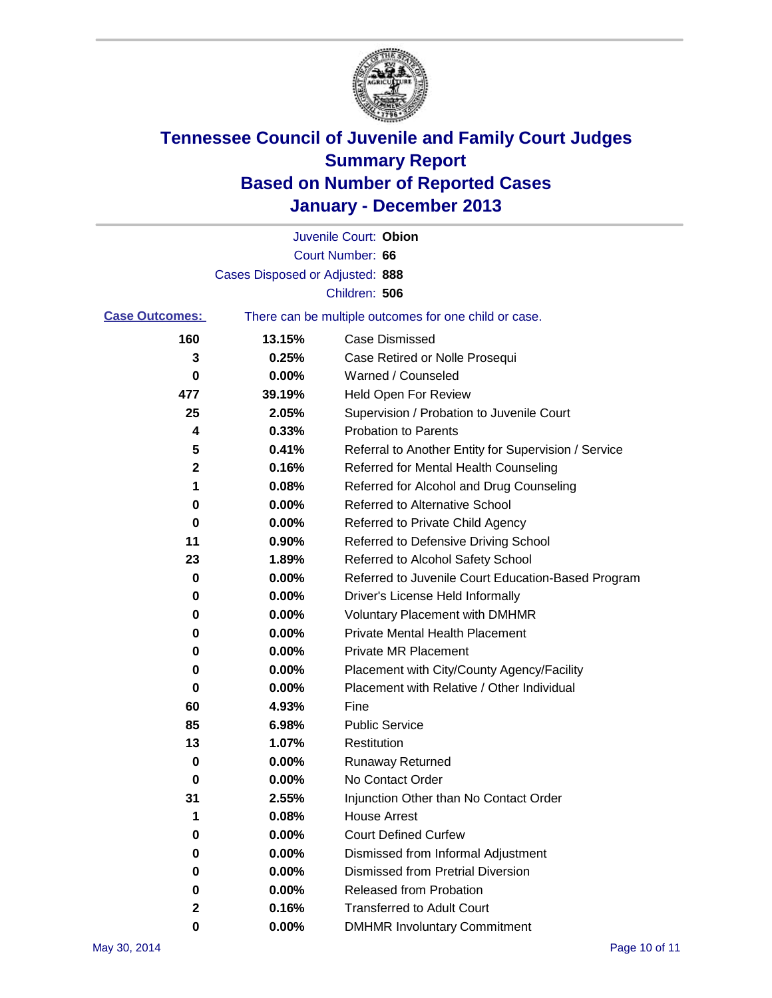

|                       |                                 | Juvenile Court: Obion                                 |
|-----------------------|---------------------------------|-------------------------------------------------------|
|                       |                                 | Court Number: 66                                      |
|                       | Cases Disposed or Adjusted: 888 |                                                       |
|                       |                                 | Children: 506                                         |
| <b>Case Outcomes:</b> |                                 | There can be multiple outcomes for one child or case. |
| 160                   | 13.15%                          | Case Dismissed                                        |
| 3                     | 0.25%                           | Case Retired or Nolle Prosequi                        |
| 0                     | 0.00%                           | Warned / Counseled                                    |
| 477                   | 39.19%                          | Held Open For Review                                  |
| 25                    | 2.05%                           | Supervision / Probation to Juvenile Court             |
| 4                     | 0.33%                           | <b>Probation to Parents</b>                           |
| 5                     | 0.41%                           | Referral to Another Entity for Supervision / Service  |
| 2                     | 0.16%                           | Referred for Mental Health Counseling                 |
| 1                     | 0.08%                           | Referred for Alcohol and Drug Counseling              |
| 0                     | 0.00%                           | <b>Referred to Alternative School</b>                 |
| 0                     | 0.00%                           | Referred to Private Child Agency                      |
| 11                    | 0.90%                           | Referred to Defensive Driving School                  |
| 23                    | 1.89%                           | Referred to Alcohol Safety School                     |
| 0                     | 0.00%                           | Referred to Juvenile Court Education-Based Program    |
| 0                     | 0.00%                           | Driver's License Held Informally                      |
| 0                     | 0.00%                           | <b>Voluntary Placement with DMHMR</b>                 |
| 0                     | 0.00%                           | <b>Private Mental Health Placement</b>                |
| 0                     | 0.00%                           | <b>Private MR Placement</b>                           |
| 0                     | 0.00%                           | Placement with City/County Agency/Facility            |
| 0                     | 0.00%                           | Placement with Relative / Other Individual            |
| 60                    | 4.93%                           | Fine                                                  |
| 85                    | 6.98%                           | <b>Public Service</b>                                 |
| 13                    | 1.07%                           | Restitution                                           |
| 0                     | 0.00%                           | <b>Runaway Returned</b>                               |
| 0                     | 0.00%                           | No Contact Order                                      |
| 31                    | 2.55%                           | Injunction Other than No Contact Order                |
| 1                     | 0.08%                           | <b>House Arrest</b>                                   |
| 0                     | 0.00%                           | <b>Court Defined Curfew</b>                           |
| 0                     | 0.00%                           | Dismissed from Informal Adjustment                    |
| 0                     | 0.00%                           | <b>Dismissed from Pretrial Diversion</b>              |
| 0                     | 0.00%                           | Released from Probation                               |
| 2                     | 0.16%                           | <b>Transferred to Adult Court</b>                     |
| 0                     | $0.00\%$                        | <b>DMHMR Involuntary Commitment</b>                   |